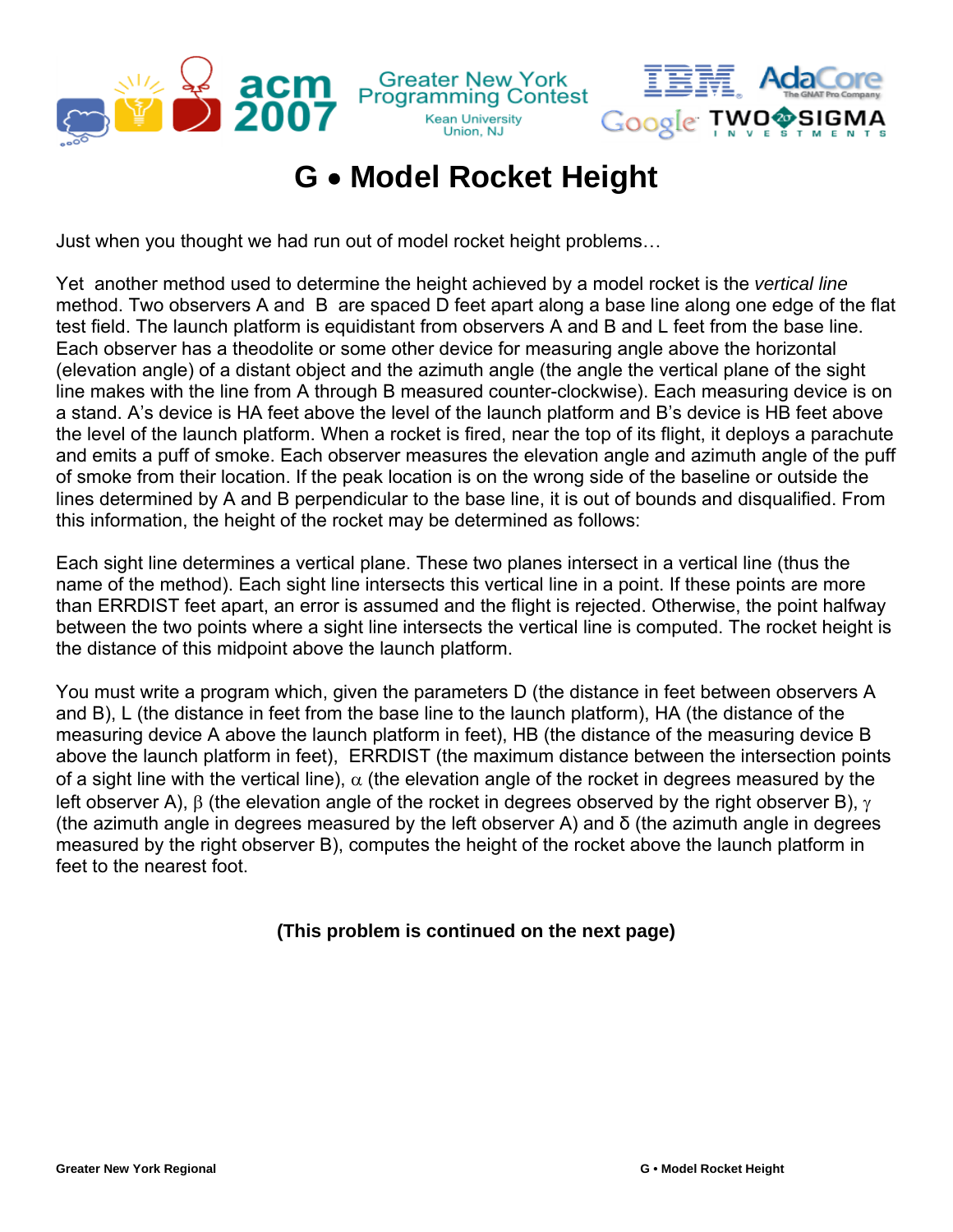

**Greater New York**<br>Programming Contest **Kean University** 

Union, NJ

Google TWO

Just when you thought we had run out of model rocket height problems…

 $\frac{1}{2}$  acm

Yet another method used to determine the height achieved by a model rocket is the *vertical line* method. Two observers A and B are spaced D feet apart along a base line along one edge of the flat test field. The launch platform is equidistant from observers A and B and L feet from the base line. Each observer has a theodolite or some other device for measuring angle above the horizontal (elevation angle) of a distant object and the azimuth angle (the angle the vertical plane of the sight line makes with the line from A through B measured counter-clockwise). Each measuring device is on a stand. A's device is HA feet above the level of the launch platform and B's device is HB feet above the level of the launch platform. When a rocket is fired, near the top of its flight, it deploys a parachute and emits a puff of smoke. Each observer measures the elevation angle and azimuth angle of the puff of smoke from their location. If the peak location is on the wrong side of the baseline or outside the lines determined by A and B perpendicular to the base line, it is out of bounds and disqualified. From this information, the height of the rocket may be determined as follows:

Each sight line determines a vertical plane. These two planes intersect in a vertical line (thus the name of the method). Each sight line intersects this vertical line in a point. If these points are more than ERRDIST feet apart, an error is assumed and the flight is rejected. Otherwise, the point halfway between the two points where a sight line intersects the vertical line is computed. The rocket height is the distance of this midpoint above the launch platform.

You must write a program which, given the parameters D (the distance in feet between observers A and B), L (the distance in feet from the base line to the launch platform), HA (the distance of the measuring device A above the launch platform in feet), HB (the distance of the measuring device B above the launch platform in feet), ERRDIST (the maximum distance between the intersection points of a sight line with the vertical line),  $\alpha$  (the elevation angle of the rocket in degrees measured by the left observer A),  $\beta$  (the elevation angle of the rocket in degrees observed by the right observer B),  $\gamma$ (the azimuth angle in degrees measured by the left observer A) and δ (the azimuth angle in degrees measured by the right observer B), computes the height of the rocket above the launch platform in feet to the nearest foot.

## **(This problem is continued on the next page)**